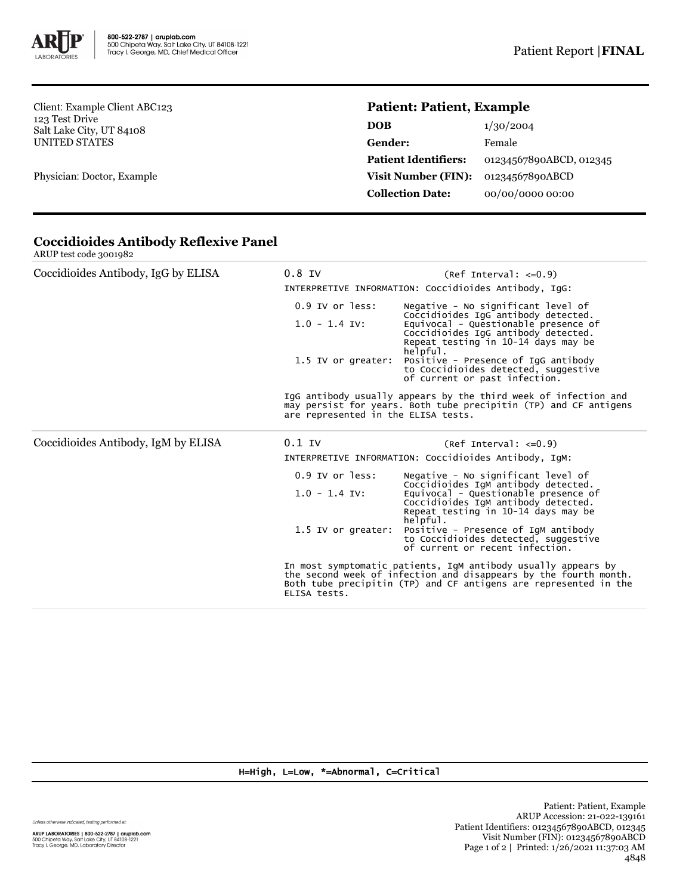

Client: Example Client ABC123 123 Test Drive Salt Lake City, UT 84108 UNITED STATES

Physician: Doctor, Example

## **Patient: Patient, Example**

| DOB                         | 1/30/2004               |
|-----------------------------|-------------------------|
| <b>Gender:</b>              | Female                  |
| <b>Patient Identifiers:</b> | 01234567890ABCD, 012345 |
| <b>Visit Number (FIN):</b>  | 01234567890ABCD         |
| <b>Collection Date:</b>     | 00/00/0000 00:00        |
|                             |                         |

| Coccidioides Antibody, IgG by ELISA | $0.8$ IV                                                                                                                                                                                                              | $(Ref Interval: <= 0.9)$<br>INTERPRETIVE INFORMATION: Coccidioides Antibody, IgG:                                              |  |  |
|-------------------------------------|-----------------------------------------------------------------------------------------------------------------------------------------------------------------------------------------------------------------------|--------------------------------------------------------------------------------------------------------------------------------|--|--|
|                                     | $0.9$ IV or less:                                                                                                                                                                                                     | Negative - No significant level of<br>Coccidioides IgG antibody detected.                                                      |  |  |
|                                     | $1.0 - 1.4$ IV:                                                                                                                                                                                                       | Equivocal - Questionable presence of<br>Coccidioides IgG antibody detected.<br>Repeat testing in 10-14 days may be<br>helpful. |  |  |
|                                     | 1.5 IV or greater:                                                                                                                                                                                                    | Positive - Presence of IgG antibody<br>to Coccidioides detected, suggestive<br>of current or past infection.                   |  |  |
|                                     | IgG antibody usually appears by the third week of infection and<br>may persist for years. Both tube precipitin (TP) and CF antigens<br>are represented in the ELISA tests.                                            |                                                                                                                                |  |  |
| Coccidioides Antibody, IgM by ELISA | $0.1$ IV                                                                                                                                                                                                              | $(Ref Interval: <=0.9)$                                                                                                        |  |  |
|                                     | INTERPRETIVE INFORMATION: Coccidioides Antibody, IGM:                                                                                                                                                                 |                                                                                                                                |  |  |
|                                     | 0.9 IV or less:                                                                                                                                                                                                       | Negative - No significant level of<br>Coccidioides IgM antibody detected.                                                      |  |  |
|                                     | $1.0 - 1.4$ IV:                                                                                                                                                                                                       | Equivocal - Questionable presence of<br>Coccidioides IgM antibody detected.<br>Repeat testing in 10-14 days may be<br>helpful. |  |  |
|                                     | 1.5 IV or greater:                                                                                                                                                                                                    | Positive - Presence of IgM antibody<br>to Coccidioides detected, suggestive<br>of current or recent infection.                 |  |  |
|                                     | In most symptomatic patients, IgM antibody usually appears by<br>the second week of infection and disappears by the fourth month.<br>Both tube precipitin (TP) and CF antigens are represented in the<br>ELISA tests. |                                                                                                                                |  |  |

## **Coccidioides Antibody Reflexive Panel** ARUP test code 3001982

H=High, L=Low, \*=Abnormal, C=Critical

Unless otherwise indicated, testing performed at: